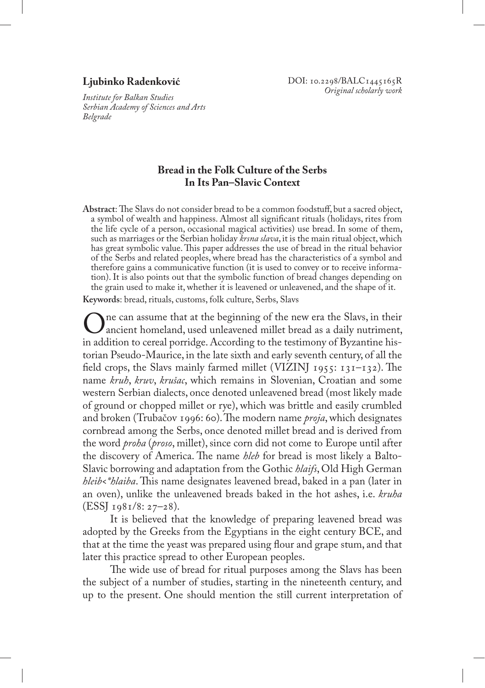## **Ljubinko Radenković**

*Institute for Balkan Studies Serbian Academy of Sciences and Arts Belgrade*

# **Bread in the Folk Culture of the Serbs In Its Pan–Slavic Context**

**Abstract**: The Slavs do not consider bread to be a common foodstuff, but a sacred object, a symbol of wealth and happiness. Almost all significant rituals (holidays, rites from the life cycle of a person, occasional magical activities) use bread. In some of them, such as marriages or the Serbian holiday *krsna slava*, it is the main ritual object, which has great symbolic value. This paper addresses the use of bread in the ritual behavior of the Serbs and related peoples, where bread has the characteristics of a symbol and therefore gains a communicative function (it is used to convey or to receive information). It is also points out that the symbolic function of bread changes depending on the grain used to make it, whether it is leavened or unleavened, and the shape of it.

**Keywords**: bread, rituals, customs, folk culture, Serbs, Slavs

One can assume that at the beginning of the new era the Slavs, in their I ancient homeland, used unleavened millet bread as a daily nutriment, in addition to cereal porridge. According to the testimony of Byzantine historian Pseudo-Maurice, in the late sixth and early seventh century, of all the field crops, the Slavs mainly farmed millet (VIZINJ 1955: 131–132). The name *kruh*, *kruv*, *krušac*, which remains in Slovenian, Croatian and some western Serbian dialects, once denoted unleavened bread (most likely made of ground or chopped millet or rye), which was brittle and easily crumbled and broken (Trubačov 1996: 60). The modern name *proja*, which designates cornbread among the Serbs, once denoted millet bread and is derived from the word *proha* (*proso*, millet), since corn did not come to Europe until after the discovery of America. The name *hleb* for bread is most likely a Balto-Slavic borrowing and adaptation from the Gothic *hlaifs*, Old High German *hleib<\*hlaiba*. This name designates leavened bread, baked in a pan (later in an oven), unlike the unleavened breads baked in the hot ashes, i.e. *kruha*   $(ESSI<sub>1981/8: 27-28).</sub>$ 

It is believed that the knowledge of preparing leavened bread was adopted by the Greeks from the Egyptians in the eight century BCE, and that at the time the yeast was prepared using flour and grape stum, and that later this practice spread to other European peoples.

The wide use of bread for ritual purposes among the Slavs has been the subject of a number of studies, starting in the nineteenth century, and up to the present. One should mention the still current interpretation of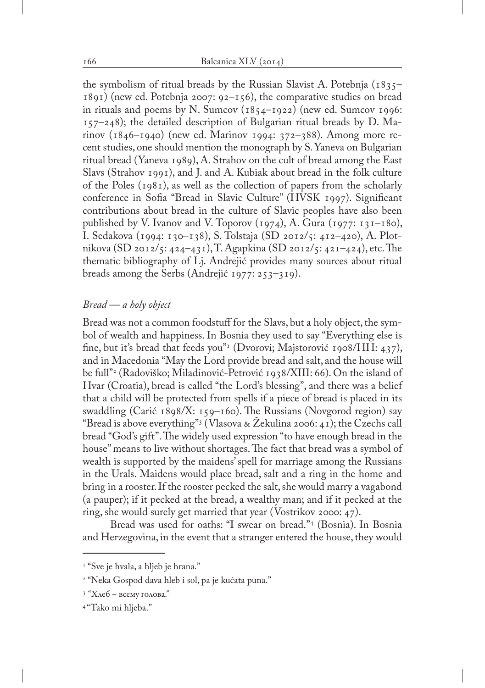the symbolism of ritual breads by the Russian Slavist A. Potebnja (1835– 1891) (new ed. Potebnja 2007: 92–156), the comparative studies on bread in rituals and poems by N. Sumcov  $(1854-1922)$  (new ed. Sumcov 1996:  $157$ –248); the detailed description of Bulgarian ritual breads by D. Marinov (1846–1940) (new ed. Marinov 1994: 372–388). Among more recent studies, one should mention the monograph by S. Yaneva on Bulgarian ritual bread (Yaneva 1989), A. Strahov on the cult of bread among the East Slavs (Strahov 1991), and J. and A. Kubiak about bread in the folk culture of the Poles  $(1981)$ , as well as the collection of papers from the scholarly conference in Sofia "Bread in Slavic Culture" (HVSK 1997). Significant contributions about bread in the culture of Slavic peoples have also been published by V. Ivanov and V. Toporov  $(1974)$ , A. Gura  $(1977: 131-180)$ , I. Sedakova (1994: 130–138), S. Tolstaja (SD 2012/5: 412–420), A. Plotnikova (SD 2012/5: 424–431), T. Agapkina (SD 2012/5: 421–424), etc. The thematic bibliography of Lj. Andrejić provides many sources about ritual breads among the Serbs (Andrejić 1977: 253–319).

### *Bread — a holy object*

Bread was not a common foodstuff for the Slavs, but a holy object, the symbol of wealth and happiness. In Bosnia they used to say "Everything else is fine, but it's bread that feeds you"<sup>1</sup> (Dvorovi; Majstorović 1908/HH: 437), and in Macedonia "May the Lord provide bread and salt, and the house will be full"2 (Radoviško; Miladinović-Petrović 1938/XIII: 66). On the island of Hvar (Croatia), bread is called "the Lord's blessing", and there was a belief that a child will be protected from spells if a piece of bread is placed in its swaddling (Carić 1898/X: 159–160). The Russians (Novgorod region) say "Bread is above everything"3 (Vlasova & Žekulina 2006: 41); the Czechs call bread "God's gift". The widely used expression "to have enough bread in the house" means to live without shortages. The fact that bread was a symbol of wealth is supported by the maidens' spell for marriage among the Russians in the Urals. Maidens would place bread, salt and a ring in the home and bring in a rooster. If the rooster pecked the salt, she would marry a vagabond (a pauper); if it pecked at the bread, a wealthy man; and if it pecked at the ring, she would surely get married that year (Vostrikov 2000: 47).

Bread was used for oaths: "I swear on bread."4 (Bosnia). In Bosnia and Herzegovina, in the event that a stranger entered the house, they would

<sup>&</sup>lt;sup>1</sup> "Sve je hvala, a hljeb je hrana."

<sup>2</sup> "Neka Gospod dava hleb i sol, pa je kućata puna."

<sup>3</sup> "Хлеб – всему голова."

<sup>4 &</sup>quot;Tako mi hljeba."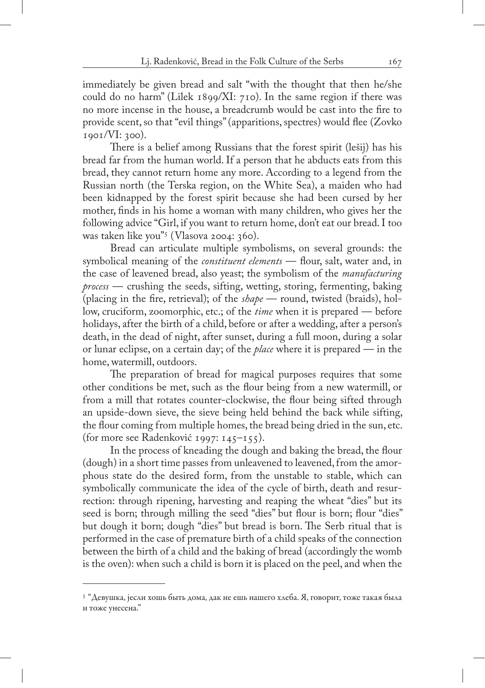immediately be given bread and salt "with the thought that then he/she could do no harm" (Lilek 1899/XI: 710). In the same region if there was no more incense in the house, a breadcrumb would be cast into the fire to provide scent, so that "evil things" (apparitions, spectres) would flee (Zovko 1901/VI: 300).

There is a belief among Russians that the forest spirit (lešij) has his bread far from the human world. If a person that he abducts eats from this bread, they cannot return home any more. According to a legend from the Russian north (the Terska region, on the White Sea), a maiden who had been kidnapped by the forest spirit because she had been cursed by her mother, finds in his home a woman with many children, who gives her the following advice "Girl, if you want to return home, don't eat our bread. I too was taken like you"5 (Vlasova 2004: 360).

Bread can articulate multiple symbolisms, on several grounds: the symbolical meaning of the *constituent elements* — flour, salt, water and, in the case of leavened bread, also yeast; the symbolism of the *manufacturing process* — crushing the seeds, sifting, wetting, storing, fermenting, baking (placing in the fire, retrieval); of the *shape* — round, twisted (braids), hollow, cruciform, zoomorphic, etc.; of the *time* when it is prepared — before holidays, after the birth of a child, before or after a wedding, after a person's death, in the dead of night, after sunset, during a full moon, during a solar or lunar eclipse, on a certain day; of the *place* where it is prepared — in the home, watermill, outdoors.

The preparation of bread for magical purposes requires that some other conditions be met, such as the flour being from a new watermill, or from a mill that rotates counter-clockwise, the flour being sifted through an upside-down sieve, the sieve being held behind the back while sifting, the flour coming from multiple homes, the bread being dried in the sun, etc. (for more see Radenković 1997: 145–155).

In the process of kneading the dough and baking the bread, the flour (dough) in a short time passes from unleavened to leavened, from the amorphous state do the desired form, from the unstable to stable, which can symbolically communicate the idea of the cycle of birth, death and resurrection: through ripening, harvesting and reaping the wheat "dies" but its seed is born; through milling the seed "dies" but flour is born; flour "dies" but dough it born; dough "dies" but bread is born. The Serb ritual that is performed in the case of premature birth of a child speaks of the connection between the birth of a child and the baking of bread (accordingly the womb is the oven): when such a child is born it is placed on the peel, and when the

<sup>5</sup> "Девушка, јесли хошь быть дома, дак не ешь нашего хлеба. Я, говорит, тоже такая была и тоже унесена."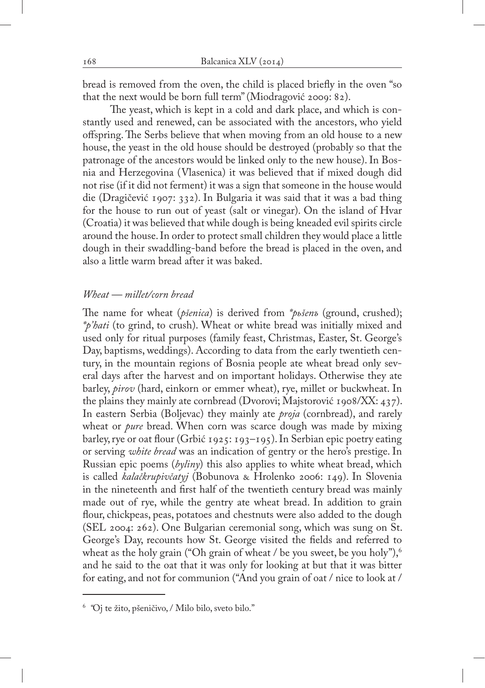bread is removed from the oven, the child is placed briefly in the oven "so that the next would be born full term" (Miodragović 2009: 82).

The yeast, which is kept in a cold and dark place, and which is constantly used and renewed, can be associated with the ancestors, who yield offspring. The Serbs believe that when moving from an old house to a new house, the yeast in the old house should be destroyed (probably so that the patronage of the ancestors would be linked only to the new house). In Bosnia and Herzegovina (Vlasenica) it was believed that if mixed dough did not rise (if it did not ferment) it was a sign that someone in the house would die (Dragičević 1907: 332). In Bulgaria it was said that it was a bad thing for the house to run out of yeast (salt or vinegar). On the island of Hvar (Croatia) it was believed that while dough is being kneaded evil spirits circle around the house. In order to protect small children they would place a little dough in their swaddling-band before the bread is placed in the oven, and also a little warm bread after it was baked.

### *Wheat — millet/corn bread*

The name for wheat (*pšenica*) is derived from *\*pьšenъ* (ground, crushed); *\*p'hati* (to grind, to crush). Wheat or white bread was initially mixed and used only for ritual purposes (family feast, Christmas, Easter, St. George's Day, baptisms, weddings). According to data from the early twentieth century, in the mountain regions of Bosnia people ate wheat bread only several days after the harvest and on important holidays. Otherwise they ate barley, *pirov* (hard, einkorn or emmer wheat), rye, millet or buckwheat. In the plains they mainly ate cornbread (Dvorovi; Majstorović 1908/XX: 437). In eastern Serbia (Boljevac) they mainly ate *proja* (cornbread), and rarely wheat or *pure* bread. When corn was scarce dough was made by mixing barley, rye or oat flour (Grbić 1925: 193–195). In Serbian epic poetry eating or serving *white bread* was an indication of gentry or the hero's prestige. In Russian epic poems (*byliny*) this also applies to white wheat bread, which is called *kalačkrupivčatyj* (Bobunova & Hrolenko 2006: 149). In Slovenia in the nineteenth and first half of the twentieth century bread was mainly made out of rye, while the gentry ate wheat bread. In addition to grain flour, chickpeas, peas, potatoes and chestnuts were also added to the dough (SEL 2004: 262). One Bulgarian ceremonial song, which was sung on St. George's Day, recounts how St. George visited the fields and referred to wheat as the holy grain ("Oh grain of wheat / be you sweet, be you holy"),  $\frac{1}{2}$ and he said to the oat that it was only for looking at but that it was bitter for eating, and not for communion ("And you grain of oat / nice to look at /

<sup>6</sup> *"*Oj te žito, pšeničivo, / Milo bilo, sveto bilo."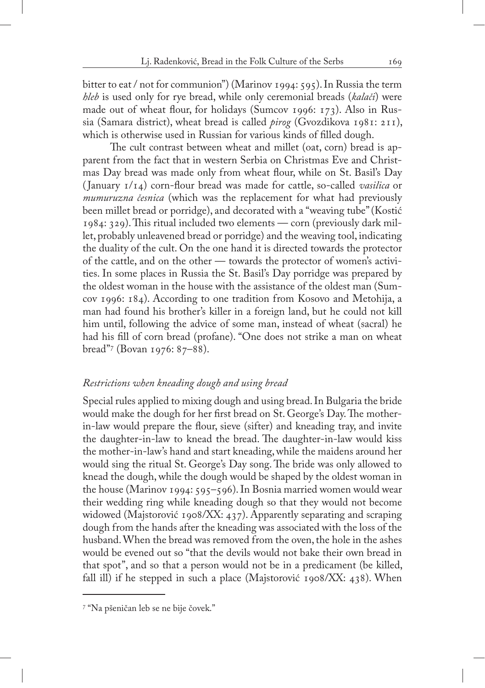bitter to eat / not for communion") (Marinov 1994: 595). In Russia the term *hleb* is used only for rye bread, while only ceremonial breads (*kalači*) were made out of wheat flour, for holidays (Sumcov 1996: 173). Also in Russia (Samara district), wheat bread is called *pirog* (Gvozdikova 1981: 211), which is otherwise used in Russian for various kinds of filled dough.

The cult contrast between wheat and millet (oat, corn) bread is apparent from the fact that in western Serbia on Christmas Eve and Christmas Day bread was made only from wheat flour, while on St. Basil's Day ( January 1/14) corn-flour bread was made for cattle, so-called *vasilica* or *mumuruzna česnica* (which was the replacement for what had previously been millet bread or porridge), and decorated with a "weaving tube" (Kostić 1984: 329). This ritual included two elements — corn (previously dark millet, probably unleavened bread or porridge) and the weaving tool, indicating the duality of the cult. On the one hand it is directed towards the protector of the cattle, and on the other — towards the protector of women's activities. In some places in Russia the St. Basil's Day porridge was prepared by the oldest woman in the house with the assistance of the oldest man (Sumcov 1996: 184). According to one tradition from Kosovo and Metohija, a man had found his brother's killer in a foreign land, but he could not kill him until, following the advice of some man, instead of wheat (sacral) he had his fill of corn bread (profane). "One does not strike a man on wheat bread"7 (Bovan 1976: 87–88).

### *Restrictions when kneading dough and using bread*

Special rules applied to mixing dough and using bread. In Bulgaria the bride would make the dough for her first bread on St. George's Day. The motherin-law would prepare the flour, sieve (sifter) and kneading tray, and invite the daughter-in-law to knead the bread. The daughter-in-law would kiss the mother-in-law's hand and start kneading, while the maidens around her would sing the ritual St. George's Day song. The bride was only allowed to knead the dough, while the dough would be shaped by the oldest woman in the house (Marinov 1994: 595–596). In Bosnia married women would wear their wedding ring while kneading dough so that they would not become widowed (Majstorović 1908/XX: 437). Apparently separating and scraping dough from the hands after the kneading was associated with the loss of the husband. When the bread was removed from the oven, the hole in the ashes would be evened out so "that the devils would not bake their own bread in that spot", and so that a person would not be in a predicament (be killed, fall ill) if he stepped in such a place (Majstorović 1908/XX: 438). When

<sup>7</sup> "Na pšeničan leb se ne bije čovek."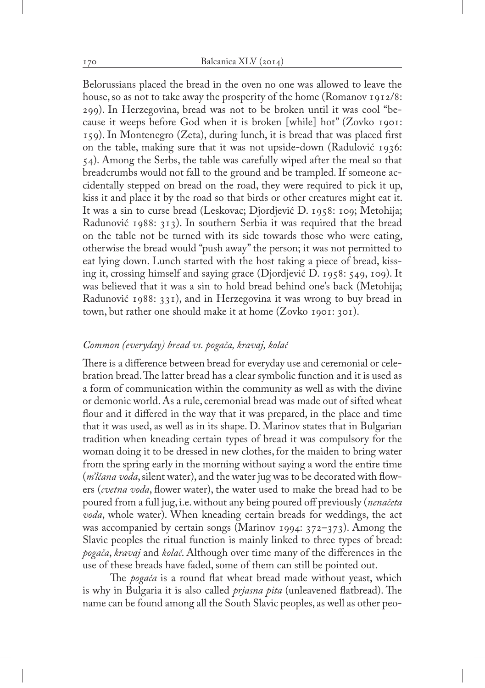Belorussians placed the bread in the oven no one was allowed to leave the house, so as not to take away the prosperity of the home (Romanov 1912/8: 299). In Herzegovina, bread was not to be broken until it was cool "because it weeps before God when it is broken [while] hot" (Zovko 1901: 159). In Montenegro (Zeta), during lunch, it is bread that was placed first on the table, making sure that it was not upside-down (Radulović 1936: 54). Among the Serbs, the table was carefully wiped after the meal so that breadcrumbs would not fall to the ground and be trampled. If someone accidentally stepped on bread on the road, they were required to pick it up, kiss it and place it by the road so that birds or other creatures might eat it. It was a sin to curse bread (Leskovac; Djordjević D. 1958: 109; Metohija; Radunović 1988: 313). In southern Serbia it was required that the bread on the table not be turned with its side towards those who were eating, otherwise the bread would "push away" the person; it was not permitted to eat lying down. Lunch started with the host taking a piece of bread, kissing it, crossing himself and saying grace (Djordjević D. 1958: 549, 109). It was believed that it was a sin to hold bread behind one's back (Metohija; Radunović 1988: 331), and in Herzegovina it was wrong to buy bread in town, but rather one should make it at home (Zovko 1901: 301).

## *Common (everyday) bread vs. pogača, kravaj, kolač*

There is a difference between bread for everyday use and ceremonial or celebration bread. The latter bread has a clear symbolic function and it is used as a form of communication within the community as well as with the divine or demonic world. As a rule, ceremonial bread was made out of sifted wheat flour and it differed in the way that it was prepared, in the place and time that it was used, as well as in its shape. D. Marinov states that in Bulgarian tradition when kneading certain types of bread it was compulsory for the woman doing it to be dressed in new clothes, for the maiden to bring water from the spring early in the morning without saying a word the entire time (*m'lčana voda*, silent water), and the water jug was to be decorated with flowers (*cvetna voda*, flower water), the water used to make the bread had to be poured from a full jug, i.e. without any being poured off previously (*nenačeta voda*, whole water). When kneading certain breads for weddings, the act was accompanied by certain songs (Marinov 1994: 372–373). Among the Slavic peoples the ritual function is mainly linked to three types of bread: *pogača*, *kravaj* and *kolač*. Although over time many of the differences in the use of these breads have faded, some of them can still be pointed out.

The *pogača* is a round flat wheat bread made without yeast, which is why in Bulgaria it is also called *prjasna pita* (unleavened flatbread). The name can be found among all the South Slavic peoples, as well as other peo-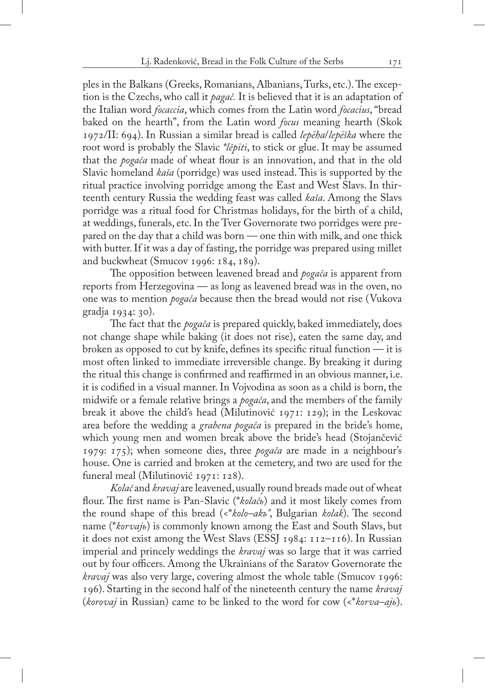ples in the Balkans (Greeks, Romanians, Albanians, Turks, etc.). The exception is the Czechs, who call it *pagač.* It is believed that it is an adaptation of the Italian word *focaccia*, which comes from the Latin word *focacius*, "bread baked on the hearth", from the Latin word *focus* meaning hearth (Skok 1972/II: 694). In Russian a similar bread is called *lepëha*/*lepëška* where the root word is probably the Slavic *\*lěpiti*, to stick or glue. It may be assumed that the *pogača* made of wheat flour is an innovation, and that in the old Slavic homeland *kaša* (porridge) was used instead. This is supported by the ritual practice involving porridge among the East and West Slavs. In thirteenth century Russia the wedding feast was called *kaša*. Among the Slavs porridge was a ritual food for Christmas holidays, for the birth of a child, at weddings, funerals, etc. In the Tver Governorate two porridges were prepared on the day that a child was born — one thin with milk, and one thick with butter. If it was a day of fasting, the porridge was prepared using millet and buckwheat (Smucov 1996: 184, 189).

The opposition between leavened bread and *pogača* is apparent from reports from Herzegovina — as long as leavened bread was in the oven, no one was to mention *pogača* because then the bread would not rise (Vukova gradja 1934: 30).

The fact that the *pogača* is prepared quickly, baked immediately, does not change shape while baking (it does not rise), eaten the same day, and broken as opposed to cut by knife, defines its specific ritual function — it is most often linked to immediate irreversible change. By breaking it during the ritual this change is confirmed and reaffirmed in an obvious manner, i.e. it is codified in a visual manner. In Vojvodina as soon as a child is born, the midwife or a female relative brings a *pogača*, and the members of the family break it above the child's head (Milutinović 1971: 129); in the Leskovac area before the wedding a *grabena pogača* is prepared in the bride's home, which young men and women break above the bride's head (Stojančević 1979: 175); when someone dies, three *pogača* are made in a neighbour's house. One is carried and broken at the cemetery, and two are used for the funeral meal (Milutinović 1971: 128).

*Kolač* and *kravaj* are leavened, usually round breads made out of wheat flour. The first name is Pan-Slavic (\**kolačь*) and it most likely comes from the round shape of this bread (<\**kolo–akъ"*, Bulgarian *kolak*). The second name (\**korvajь*) is commonly known among the East and South Slavs, but it does not exist among the West Slavs (ESSJ 1984: 112–116). In Russian imperial and princely weddings the *kravaj* was so large that it was carried out by four officers. Among the Ukrainians of the Saratov Governorate the *kravaj* was also very large, covering almost the whole table (Smucov 1996: 196). Starting in the second half of the nineteenth century the name *kravaj* (*korovaj* in Russian) came to be linked to the word for cow (<\**korva–ajь*).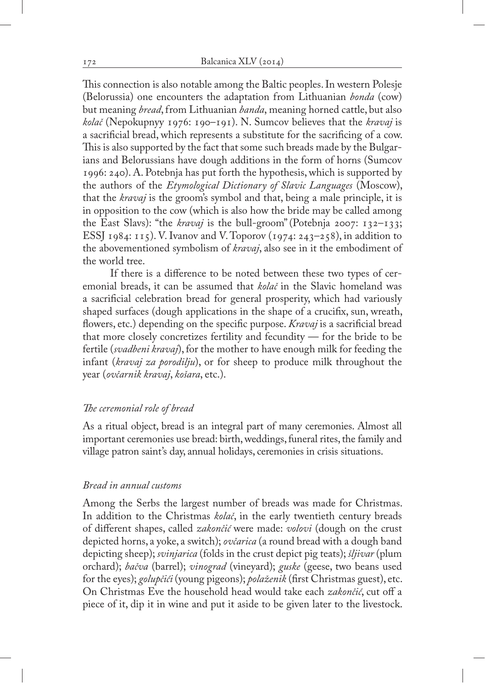This connection is also notable among the Baltic peoples. In western Polesje (Belorussia) one encounters the adaptation from Lithuanian *bonda* (cow) but meaning *bread*, from Lithuanian *banda*, meaning horned cattle, but also *kolač* (Nepokupnyy 1976: 190–191). N. Sumcov believes that the *kravaj* is a sacrificial bread, which represents a substitute for the sacrificing of a cow. This is also supported by the fact that some such breads made by the Bulgarians and Belorussians have dough additions in the form of horns (Sumcov 1996: 240). A. Potebnja has put forth the hypothesis, which is supported by the authors of the *Etymological Dictionary of Slavic Languages* (Moscow), that the *kravaj* is the groom's symbol and that, being a male principle, it is in opposition to the cow (which is also how the bride may be called among the East Slavs): "the *kravaj* is the bull-groom"(Potebnja 2007: 132–133; ESSJ 1984: 115). V. Ivanov and V. Toporov (1974: 243–258), in addition to the abovementioned symbolism of *kravaj*, also see in it the embodiment of the world tree.

If there is a difference to be noted between these two types of ceremonial breads, it can be assumed that *kolač* in the Slavic homeland was a sacrificial celebration bread for general prosperity, which had variously shaped surfaces (dough applications in the shape of a crucifix, sun, wreath, flowers, etc.) depending on the specific purpose. *Kravaj* is a sacrificial bread that more closely concretizes fertility and fecundity — for the bride to be fertile (*svadbeni kravaj*), for the mother to have enough milk for feeding the infant (*kravaj za porodilju*), or for sheep to produce milk throughout the year (*ovčarnik kravaj*, *košara*, etc.).

## *The ceremonial role of bread*

As a ritual object, bread is an integral part of many ceremonies. Almost all important ceremonies use bread: birth, weddings, funeral rites, the family and village patron saint's day, annual holidays, ceremonies in crisis situations.

## *Bread in annual customs*

Among the Serbs the largest number of breads was made for Christmas. In addition to the Christmas *kolač*, in the early twentieth century breads of different shapes, called *zakončić* were made: *volovi* (dough on the crust depicted horns, a yoke, a switch); *ovčarica* (a round bread with a dough band depicting sheep); *svinjarica* (folds in the crust depict pig teats); *šljivar* (plum orchard); *bačva* (barrel); *vinograd* (vineyard); *guske* (geese, two beans used for the eyes); *golupčići* (young pigeons); *polaženik* (first Christmas guest), etc. On Christmas Eve the household head would take each *zakončić*, cut off a piece of it, dip it in wine and put it aside to be given later to the livestock.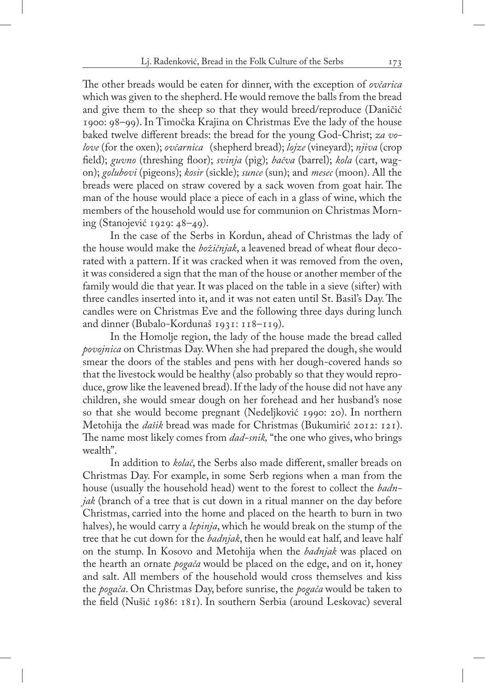The other breads would be eaten for dinner, with the exception of *ovčarica* which was given to the shepherd. He would remove the balls from the bread and give them to the sheep so that they would breed/reproduce (Daničić 1900: 98–99). In Timočka Krajina on Christmas Eve the lady of the house baked twelve different breads: the bread for the young God-Christ; *za volove* (for the oxen); *ovčarnica* (shepherd bread); *lojze* (vineyard); *njiva* (crop field); *guvno* (threshing floor); *svinja* (pig); *bačva* (barrel); *kola* (cart, wagon); *golubovi* (pigeons); *kosir* (sickle); *sunce* (sun); and *mesec* (moon). All the breads were placed on straw covered by a sack woven from goat hair. The man of the house would place a piece of each in a glass of wine, which the members of the household would use for communion on Christmas Morning (Stanojević 1929: 48–49).

In the case of the Serbs in Kordun, ahead of Christmas the lady of the house would make the *božičnjak*, a leavened bread of wheat flour decorated with a pattern. If it was cracked when it was removed from the oven, it was considered a sign that the man of the house or another member of the family would die that year. It was placed on the table in a sieve (sifter) with three candles inserted into it, and it was not eaten until St. Basil's Day. The candles were on Christmas Eve and the following three days during lunch and dinner (Bubalo-Kordunaš 1931: 118–119).

In the Homolje region, the lady of the house made the bread called *povojnica* on Christmas Day. When she had prepared the dough, she would smear the doors of the stables and pens with her dough-covered hands so that the livestock would be healthy (also probably so that they would reproduce, grow like the leavened bread). If the lady of the house did not have any children, she would smear dough on her forehead and her husband's nose so that she would become pregnant (Nedeljković 1990: 20). In northern Metohija the *dašik* bread was made for Christmas (Bukumirić 2012: 121). The name most likely comes from *dad-snik,* "the one who gives, who brings wealth".

In addition to *kolač*, the Serbs also made different, smaller breads on Christmas Day. For example, in some Serb regions when a man from the house (usually the household head) went to the forest to collect the *badnjak* (branch of a tree that is cut down in a ritual manner on the day before Christmas, carried into the home and placed on the hearth to burn in two halves), he would carry a *lepinja*, which he would break on the stump of the tree that he cut down for the *badnjak*, then he would eat half, and leave half on the stump. In Kosovo and Metohija when the *badnjak* was placed on the hearth an ornate *pogača* would be placed on the edge, and on it, honey and salt. All members of the household would cross themselves and kiss the *pogača*. On Christmas Day, before sunrise, the *pogača* would be taken to the field (Nušić 1986: 181). In southern Serbia (around Leskovac) several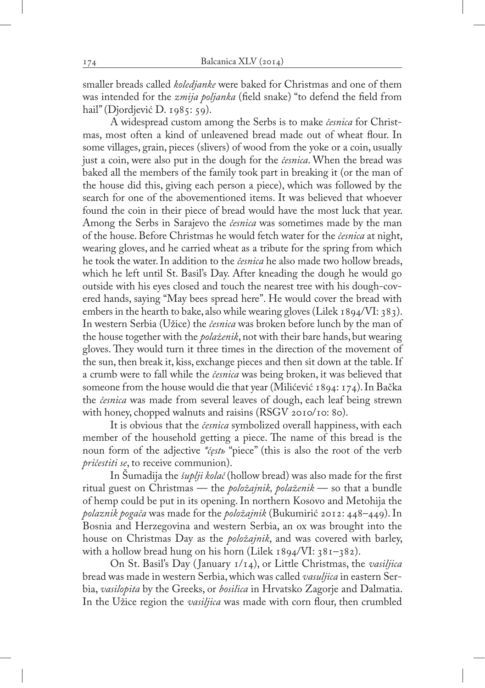smaller breads called *koledjanke* were baked for Christmas and one of them was intended for the *zmija poljanka* (field snake) "to defend the field from hail" (Djordjević D. 1985: 59).

A widespread custom among the Serbs is to make *česnica* for Christmas, most often a kind of unleavened bread made out of wheat flour. In some villages, grain, pieces (slivers) of wood from the yoke or a coin, usually just a coin, were also put in the dough for the *česnica*. When the bread was baked all the members of the family took part in breaking it (or the man of the house did this, giving each person a piece), which was followed by the search for one of the abovementioned items. It was believed that whoever found the coin in their piece of bread would have the most luck that year. Among the Serbs in Sarajevo the *česnica* was sometimes made by the man of the house. Before Christmas he would fetch water for the *česnica* at night, wearing gloves, and he carried wheat as a tribute for the spring from which he took the water. In addition to the *česnica* he also made two hollow breads, which he left until St. Basil's Day. After kneading the dough he would go outside with his eyes closed and touch the nearest tree with his dough-covered hands, saying "May bees spread here". He would cover the bread with embers in the hearth to bake, also while wearing gloves (Lilek 1894/VI: 383). In western Serbia (Užice) the *česnica* was broken before lunch by the man of the house together with the *polaženik*, not with their bare hands, but wearing gloves. They would turn it three times in the direction of the movement of the sun, then break it, kiss, exchange pieces and then sit down at the table. If a crumb were to fall while the *česnica* was being broken, it was believed that someone from the house would die that year (Milićević 1894: 174). In Bačka the *česnica* was made from several leaves of dough, each leaf being strewn with honey, chopped walnuts and raisins (RSGV 2010/10: 80).

It is obvious that the *česnica* symbolized overall happiness, with each member of the household getting a piece. The name of this bread is the noun form of the adjective *\*čęstь* "piece" (this is also the root of the verb *pričestiti se*, to receive communion).

In Šumadija the *šuplji kolač* (hollow bread) was also made for the first ritual guest on Christmas — the *položajnik, polaženik* — so that a bundle of hemp could be put in its opening. In northern Kosovo and Metohija the *polaznik pogača* was made for the *položajnik* (Bukumirić 2012: 448–449). In Bosnia and Herzegovina and western Serbia, an ox was brought into the house on Christmas Day as the *položajnik*, and was covered with barley, with a hollow bread hung on his horn (Lilek  $1894/VI: 381–382$ ).

On St. Basil's Day ( January 1/14), or Little Christmas, the *vasiljica* bread was made in western Serbia, which was called *vasuljica* in eastern Serbia, *vasilopita* by the Greeks, or *bosilica* in Hrvatsko Zagorje and Dalmatia. In the Užice region the *vasiljica* was made with corn flour, then crumbled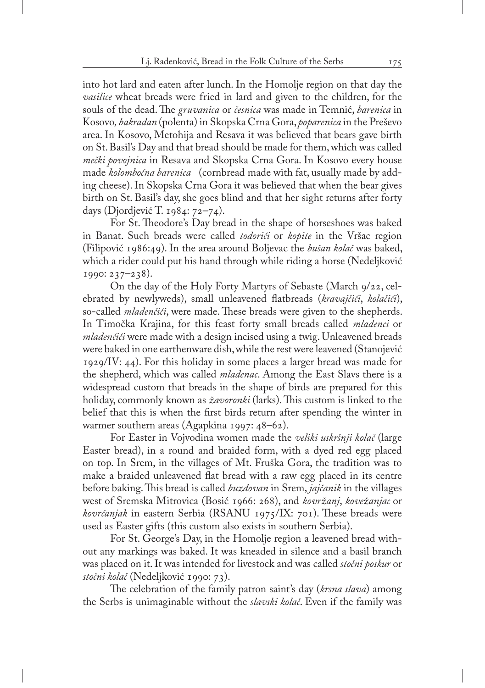into hot lard and eaten after lunch. In the Homolje region on that day the *vasilice* wheat breads were fried in lard and given to the children, for the souls of the dead. The *gruvanica* or *česnica* was made in Temnić, *barenica* in Kosovo*, bakradan* (polenta) in Skopska Crna Gora, *poparenica* in the Preševo area. In Kosovo, Metohija and Resava it was believed that bears gave birth on St. Basil's Day and that bread should be made for them, which was called *mečki povojnica* in Resava and Skopska Crna Gora. In Kosovo every house made *kolomboćna barenica* (cornbread made with fat, usually made by adding cheese). In Skopska Crna Gora it was believed that when the bear gives birth on St. Basil's day, she goes blind and that her sight returns after forty days (Djordjević T. 1984: 72–74).

For St. Theodore's Day bread in the shape of horseshoes was baked in Banat. Such breads were called *todorići* or *kopite* in the Vršac region (Filipović 1986:49). In the area around Boljevac the *bušan kolač* was baked, which a rider could put his hand through while riding a horse (Nedeljković 1990: 237–238).

On the day of the Holy Forty Martyrs of Sebaste (March 9/22, celebrated by newlyweds), small unleavened flatbreads (*kravajčići*, *kolačići*), so-called *mladenčići*, were made. These breads were given to the shepherds. In Timočka Krajina, for this feast forty small breads called *mladenci* or *mladenčići* were made with a design incised using a twig. Unleavened breads were baked in one earthenware dish, while the rest were leavened (Stanojević 1929/IV: 44). For this holiday in some places a larger bread was made for the shepherd, which was called *mladenac*. Among the East Slavs there is a widespread custom that breads in the shape of birds are prepared for this holiday, commonly known as *žavoronki* (larks). This custom is linked to the belief that this is when the first birds return after spending the winter in warmer southern areas (Agapkina 1997: 48–62).

For Easter in Vojvodina women made the *veliki uskršnji kolač* (large Easter bread), in a round and braided form, with a dyed red egg placed on top. In Srem, in the villages of Mt. Fruška Gora, the tradition was to make a braided unleavened flat bread with a raw egg placed in its centre before baking. This bread is called *buzdovan* in Srem, *jajčanik* in the villages west of Sremska Mitrovica (Bosić 1966: 268), and *kovržanj*, *kovežanjac* or *kovrćanjak* in eastern Serbia (RSANU 1975/IX: 701). These breads were used as Easter gifts (this custom also exists in southern Serbia).

For St. George's Day, in the Homolje region a leavened bread without any markings was baked. It was kneaded in silence and a basil branch was placed on it. It was intended for livestock and was called *stočni poskur* or *stočni kolač* (Nedeljković 1990: 73).

The celebration of the family patron saint's day (*krsna slava*) among the Serbs is unimaginable without the *slavski kolač*. Even if the family was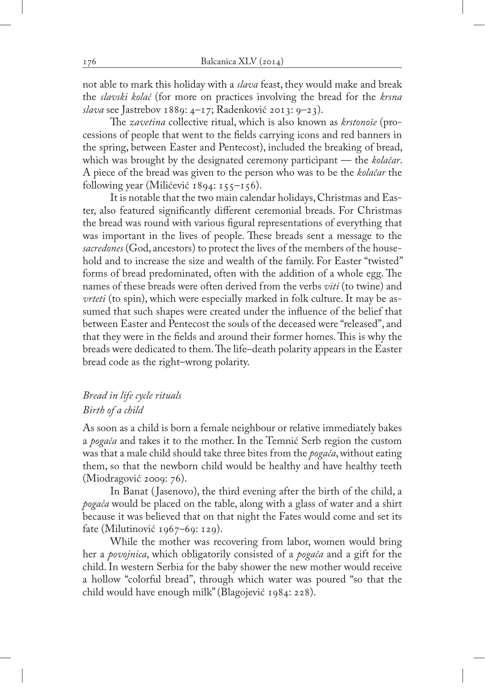not able to mark this holiday with a *slava* feast, they would make and break the *slavski kolač* (for more on practices involving the bread for the *krsna slava* see Jastrebov 1889: 4–17; Radenković 2013: 9–23).

The *zavetina* collective ritual, which is also known as *krstonoše* (processions of people that went to the fields carrying icons and red banners in the spring, between Easter and Pentecost), included the breaking of bread, which was brought by the designated ceremony participant — the *kolačar*. A piece of the bread was given to the person who was to be the *kolačar* the following year (Milićević 1894: 155–156).

It is notable that the two main calendar holidays, Christmas and Easter, also featured significantly different ceremonial breads. For Christmas the bread was round with various figural representations of everything that was important in the lives of people. These breads sent a message to the *sacredones* (God, ancestors) to protect the lives of the members of the household and to increase the size and wealth of the family. For Easter "twisted" forms of bread predominated, often with the addition of a whole egg. The names of these breads were often derived from the verbs *viti* (to twine) and *vrteti* (to spin), which were especially marked in folk culture. It may be assumed that such shapes were created under the influence of the belief that between Easter and Pentecost the souls of the deceased were "released", and that they were in the fields and around their former homes. This is why the breads were dedicated to them. The life–death polarity appears in the Easter bread code as the right–wrong polarity.

# *Bread in life cycle rituals Birth of a child*

As soon as a child is born a female neighbour or relative immediately bakes a *pogača* and takes it to the mother. In the Temnić Serb region the custom was that a male child should take three bites from the *pogača*, without eating them, so that the newborn child would be healthy and have healthy teeth (Miodragović 2009: 76).

In Banat ( Jasenovo), the third evening after the birth of the child, a *pogača* would be placed on the table, along with a glass of water and a shirt because it was believed that on that night the Fates would come and set its fate (Milutinović 1967–69: 129).

While the mother was recovering from labor, women would bring her a *povojnica*, which obligatorily consisted of a *pogača* and a gift for the child. In western Serbia for the baby shower the new mother would receive a hollow "colorful bread", through which water was poured "so that the child would have enough milk" (Blagojević 1984: 228).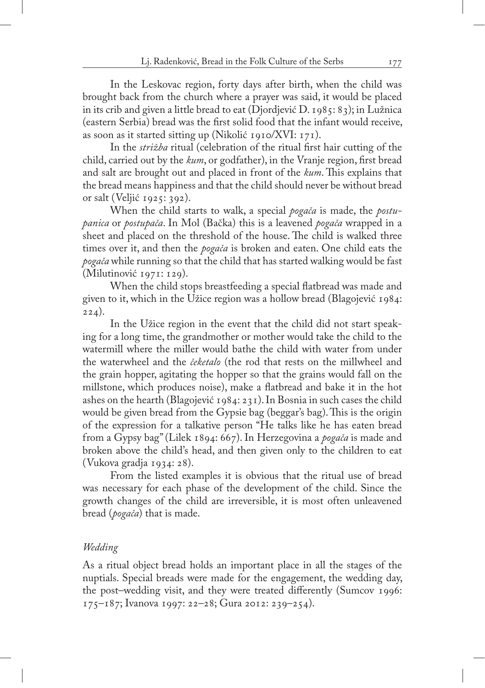In the Leskovac region, forty days after birth, when the child was brought back from the church where a prayer was said, it would be placed in its crib and given a little bread to eat (Djordjević D. 1985: 83); in Lužnica (eastern Serbia) bread was the first solid food that the infant would receive, as soon as it started sitting up (Nikolić 1910/XVI: 171).

In the *strižba* ritual (celebration of the ritual first hair cutting of the child, carried out by the *kum*, or godfather), in the Vranje region, first bread and salt are brought out and placed in front of the *kum*. This explains that the bread means happiness and that the child should never be without bread or salt (Veljić 1925: 392).

When the child starts to walk, a special *pogača* is made, the *postupanica* or *postupača*. In Mol (Bačka) this is a leavened *pogača* wrapped in a sheet and placed on the threshold of the house. The child is walked three times over it, and then the *pogača* is broken and eaten. One child eats the *pogača* while running so that the child that has started walking would be fast (Milutinović 1971: 129).

When the child stops breastfeeding a special flatbread was made and given to it, which in the Užice region was a hollow bread (Blagojević 1984:  $224)$ .

In the Užice region in the event that the child did not start speaking for a long time, the grandmother or mother would take the child to the watermill where the miller would bathe the child with water from under the waterwheel and the *čeketalo* (the rod that rests on the millwheel and the grain hopper, agitating the hopper so that the grains would fall on the millstone, which produces noise), make a flatbread and bake it in the hot ashes on the hearth (Blagojević 1984: 231). In Bosnia in such cases the child would be given bread from the Gypsie bag (beggar's bag). This is the origin of the expression for a talkative person "He talks like he has eaten bread from a Gypsy bag" (Lilek 1894: 667). In Herzegovina a *pogača* is made and broken above the child's head, and then given only to the children to eat (Vukova gradja 1934: 28).

From the listed examples it is obvious that the ritual use of bread was necessary for each phase of the development of the child. Since the growth changes of the child are irreversible, it is most often unleavened bread (*pogača*) that is made.

## *Wedding*

As a ritual object bread holds an important place in all the stages of the nuptials. Special breads were made for the engagement, the wedding day, the post–wedding visit, and they were treated differently (Sumcov 1996: 175–187; Ivanova 1997: 22–28; Gura 2012: 239–254).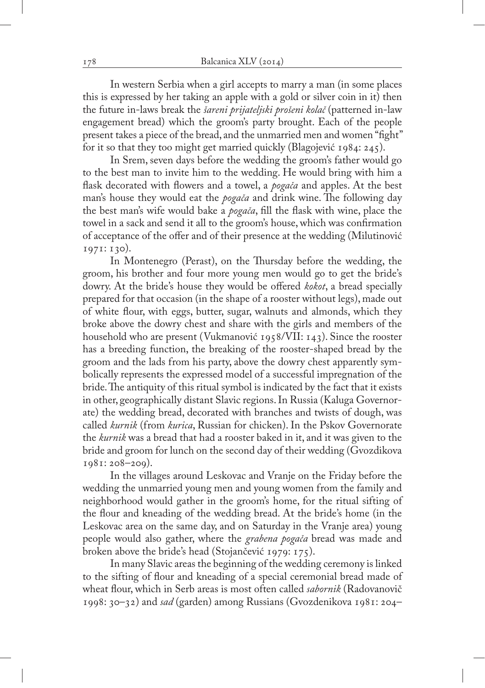In western Serbia when a girl accepts to marry a man (in some places this is expressed by her taking an apple with a gold or silver coin in it) then the future in-laws break the *šareni prijateljski prošeni kolač* (patterned in-law engagement bread) which the groom's party brought. Each of the people present takes a piece of the bread, and the unmarried men and women "fight" for it so that they too might get married quickly (Blagojević 1984: 245).

In Srem, seven days before the wedding the groom's father would go to the best man to invite him to the wedding. He would bring with him a flask decorated with flowers and a towel, a *pogača* and apples. At the best man's house they would eat the *pogača* and drink wine. The following day the best man's wife would bake a *pogača*, fill the flask with wine, place the towel in a sack and send it all to the groom's house, which was confirmation of acceptance of the offer and of their presence at the wedding (Milutinović 1971: 130).

In Montenegro (Perast), on the Thursday before the wedding, the groom, his brother and four more young men would go to get the bride's dowry. At the bride's house they would be offered *kokot*, a bread specially prepared for that occasion (in the shape of a rooster without legs), made out of white flour, with eggs, butter, sugar, walnuts and almonds, which they broke above the dowry chest and share with the girls and members of the household who are present (Vukmanović 1958/VII: 143). Since the rooster has a breeding function, the breaking of the rooster-shaped bread by the groom and the lads from his party, above the dowry chest apparently symbolically represents the expressed model of a successful impregnation of the bride. The antiquity of this ritual symbol is indicated by the fact that it exists in other, geographically distant Slavic regions. In Russia (Kaluga Governorate) the wedding bread, decorated with branches and twists of dough, was called *kurnik* (from *kurica*, Russian for chicken). In the Pskov Governorate the *kurnik* was a bread that had a rooster baked in it, and it was given to the bride and groom for lunch on the second day of their wedding (Gvozdikova 1981: 208–209).

In the villages around Leskovac and Vranje on the Friday before the wedding the unmarried young men and young women from the family and neighborhood would gather in the groom's home, for the ritual sifting of the flour and kneading of the wedding bread. At the bride's home (in the Leskovac area on the same day, and on Saturday in the Vranje area) young people would also gather, where the *grabena pogača* bread was made and broken above the bride's head (Stojančević 1979: 175).

In many Slavic areas the beginning of the wedding ceremony is linked to the sifting of flour and kneading of a special ceremonial bread made of wheat flour, which in Serb areas is most often called *sabornik* (Radovanovič 1998: 30–32) and *sad* (garden) among Russians (Gvozdenikova 1981: 204–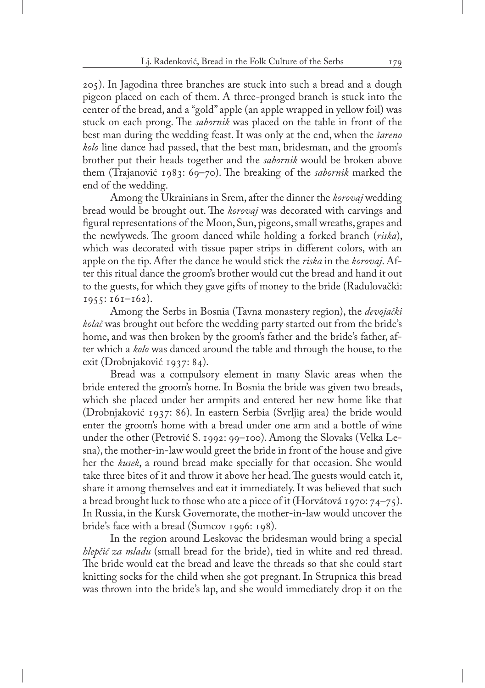205). In Jagodina three branches are stuck into such a bread and a dough pigeon placed on each of them. A three-pronged branch is stuck into the center of the bread, and a "gold" apple (an apple wrapped in yellow foil) was stuck on each prong. The *sabornik* was placed on the table in front of the best man during the wedding feast. It was only at the end, when the *šareno kolo* line dance had passed, that the best man, bridesman, and the groom's brother put their heads together and the *sabornik* would be broken above them (Trajanović 1983: 69–70). The breaking of the *sabornik* marked the end of the wedding.

Among the Ukrainians in Srem, after the dinner the *korovaj* wedding bread would be brought out. The *korovaj* was decorated with carvings and figural representations of the Moon, Sun, pigeons, small wreaths, grapes and the newlyweds. The groom danced while holding a forked branch (*riska*), which was decorated with tissue paper strips in different colors, with an apple on the tip. After the dance he would stick the *riska* in the *korovaj*. After this ritual dance the groom's brother would cut the bread and hand it out to the guests, for which they gave gifts of money to the bride (Radulovački:  $1955: 161 - 162$ ).

Among the Serbs in Bosnia (Tavna monastery region), the *devojački kolač* was brought out before the wedding party started out from the bride's home, and was then broken by the groom's father and the bride's father, after which a *kolo* was danced around the table and through the house, to the exit (Drobnjaković 1937: 84).

Bread was a compulsory element in many Slavic areas when the bride entered the groom's home. In Bosnia the bride was given two breads, which she placed under her armpits and entered her new home like that (Drobnjaković 1937: 86). In eastern Serbia (Svrljig area) the bride would enter the groom's home with a bread under one arm and a bottle of wine under the other (Petrović S. 1992: 99–100). Among the Slovaks (Velka Lesna), the mother-in-law would greet the bride in front of the house and give her the *kusek*, a round bread make specially for that occasion. She would take three bites of it and throw it above her head. The guests would catch it, share it among themselves and eat it immediately. It was believed that such a bread brought luck to those who ate a piece of it (Horvátová 1970: 74–75). In Russia, in the Kursk Governorate, the mother-in-law would uncover the bride's face with a bread (Sumcov 1996: 198).

In the region around Leskovac the bridesman would bring a special *hlepčić za mladu* (small bread for the bride), tied in white and red thread. The bride would eat the bread and leave the threads so that she could start knitting socks for the child when she got pregnant. In Strupnica this bread was thrown into the bride's lap, and she would immediately drop it on the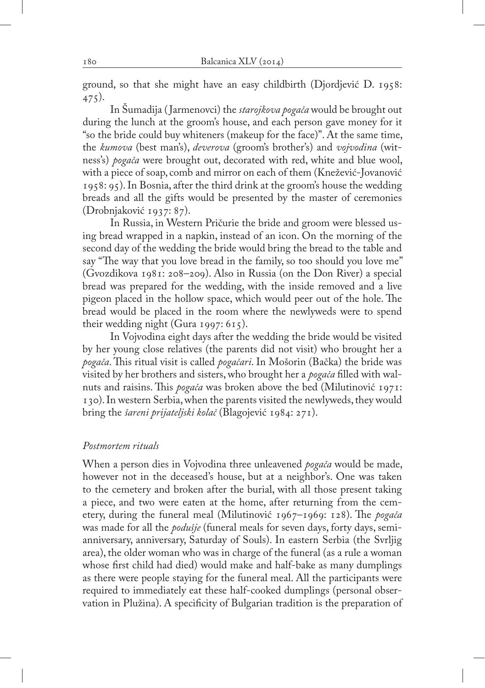ground, so that she might have an easy childbirth (Djordjević D. 1958: 475).

In Šumadija ( Jarmenovci) the *starojkova pogača* would be brought out during the lunch at the groom's house, and each person gave money for it "so the bride could buy whiteners (makeup for the face)". At the same time, the *kumova* (best man's), *deverova* (groom's brother's) and *vojvodina* (witness's) *pogača* were brought out, decorated with red, white and blue wool, with a piece of soap, comb and mirror on each of them (Knežević-Jovanović 1958: 95). In Bosnia, after the third drink at the groom's house the wedding breads and all the gifts would be presented by the master of ceremonies (Drobnjaković 1937: 87).

In Russia, in Western Pričurie the bride and groom were blessed using bread wrapped in a napkin, instead of an icon. On the morning of the second day of the wedding the bride would bring the bread to the table and say "The way that you love bread in the family, so too should you love me" (Gvozdikova 1981: 208–209). Also in Russia (on the Don River) a special bread was prepared for the wedding, with the inside removed and a live pigeon placed in the hollow space, which would peer out of the hole. The bread would be placed in the room where the newlyweds were to spend their wedding night (Gura 1997: 615).

In Vojvodina eight days after the wedding the bride would be visited by her young close relatives (the parents did not visit) who brought her a *pogača*. This ritual visit is called *pogačari*. In Mošorin (Bačka) the bride was visited by her brothers and sisters, who brought her a *pogača* filled with walnuts and raisins. This *pogača* was broken above the bed (Milutinović 1971: 130). In western Serbia, when the parents visited the newlyweds, they would bring the *šareni prijateljski kolač* (Blagojević 1984: 271).

#### *Postmortem rituals*

When a person dies in Vojvodina three unleavened *pogača* would be made, however not in the deceased's house, but at a neighbor's. One was taken to the cemetery and broken after the burial, with all those present taking a piece, and two were eaten at the home, after returning from the cemetery, during the funeral meal (Milutinović 1967–1969: 128). The *pogača*  was made for all the *podušje* (funeral meals for seven days, forty days, semianniversary, anniversary, Saturday of Souls). In eastern Serbia (the Svrljig area), the older woman who was in charge of the funeral (as a rule a woman whose first child had died) would make and half-bake as many dumplings as there were people staying for the funeral meal. All the participants were required to immediately eat these half-cooked dumplings (personal observation in Plužina). A specificity of Bulgarian tradition is the preparation of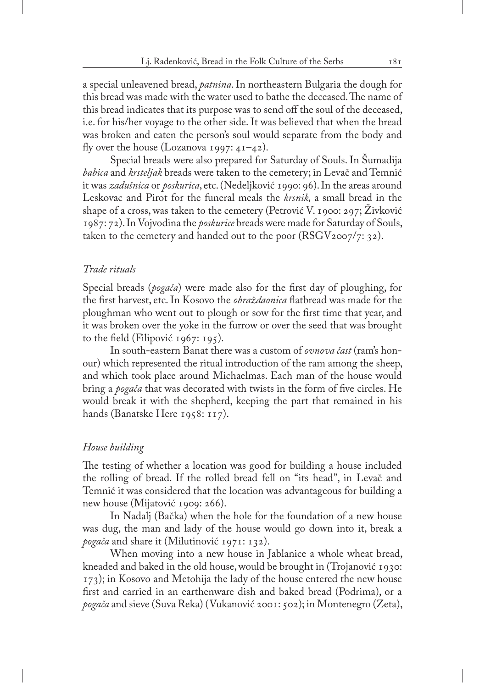a special unleavened bread, *patnina*. In northeastern Bulgaria the dough for this bread was made with the water used to bathe the deceased. The name of this bread indicates that its purpose was to send off the soul of the deceased, i.e. for his/her voyage to the other side. It was believed that when the bread was broken and eaten the person's soul would separate from the body and fly over the house (Lozanova 1997:  $41-42$ ).

Special breads were also prepared for Saturday of Souls. In Šumadija *babica* and *krsteljak* breads were taken to the cemetery; in Levač and Temnić it was *zadušnica* or *poskurica*, etc. (Nedeljković 1990: 96). In the areas around Leskovac and Pirot for the funeral meals the *krsnik,* a small bread in the shape of a cross, was taken to the cemetery (Petrović V. 1900: 297; Živković 1987: 72). In Vojvodina the *poskurice* breads were made for Saturday of Souls, taken to the cemetery and handed out to the poor  $(RSGV<sub>2007</sub>/7: 32)$ .

## *Trade rituals*

Special breads (*pogača*) were made also for the first day of ploughing, for the first harvest, etc. In Kosovo the *obraždaonica* flatbread was made for the ploughman who went out to plough or sow for the first time that year, and it was broken over the yoke in the furrow or over the seed that was brought to the field (Filipović 1967: 195).

In south-eastern Banat there was a custom of *ovnova čast* (ram's honour) which represented the ritual introduction of the ram among the sheep, and which took place around Michaelmas. Each man of the house would bring a *pogača* that was decorated with twists in the form of five circles. He would break it with the shepherd, keeping the part that remained in his hands (Banatske Here 1958: 117).

## *House building*

The testing of whether a location was good for building a house included the rolling of bread. If the rolled bread fell on "its head", in Levač and Temnić it was considered that the location was advantageous for building a new house (Mijatović 1909: 266).

In Nadalj (Bačka) when the hole for the foundation of a new house was dug, the man and lady of the house would go down into it, break a *pogača* and share it (Milutinović 1971: 132).

When moving into a new house in Jablanice a whole wheat bread, kneaded and baked in the old house, would be brought in (Trojanović 1930: 173); in Kosovo and Metohija the lady of the house entered the new house first and carried in an earthenware dish and baked bread (Podrima), or a *pogača* and sieve (Suva Reka) (Vukanović 2001: 502); in Montenegro (Zeta),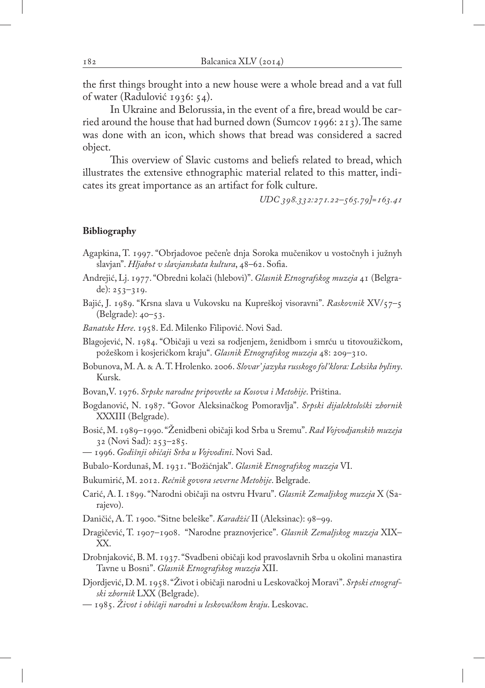the first things brought into a new house were a whole bread and a vat full of water (Radulović 1936: 54).

In Ukraine and Belorussia, in the event of a fire, bread would be carried around the house that had burned down (Sumcov 1996: 213). The same was done with an icon, which shows that bread was considered a sacred object.

This overview of Slavic customs and beliefs related to bread, which illustrates the extensive ethnographic material related to this matter, indicates its great importance as an artifact for folk culture.

*UDC 398.332:271.22–565.79]=163.41*

#### **Bibliography**

- Agapkina, T. 1997. "Obrjadovoe pečen'e dnja Soroka mučenikov u vostočnyh i južnyh slavjan". *Hljabъt v slavjanskata kultura*, 48–62. Sofia.
- Andrejić, Lj. 1977. "Obredni kolači (hlebovi)". *Glasnik Etnografskog muzeja* 41 (Belgrade):  $253-319$ .
- Bajić, J. 1989. "Krsna slava u Vukovsku na Kupreškoj visoravni". *Raskovnik* XV/57–5 (Belgrade): 40–53.

*Banatske Here*. 1958. Ed. Milenko Filipović. Novi Sad.

Blagojević, N. 1984. "Običaji u vezi sa rodjenjem, ženidbom i smrću u titovoužičkom, požeškom i kosjerićkom kraju". *Glasnik Etnografskog muzeja* 48: 209–310.

- Bobunova, M. A. & A. T. Hrolenko. 2006. *Slovar' jazyka russkogo fol'klora: Leksika byliny*. Kursk.
- Bovan,V. 1976. *Srpske narodne pripovetke sa Kosova i Metohije*. Priština.
- Bogdanović, N. 1987. "Govor Aleksinačkog Pomoravlja". *Srpski dijalektološki zbornik*  XXXIII (Belgrade).
- Bosić, M. 1989–1990. "Ženidbeni običaji kod Srba u Sremu". *Rad Vojvodjanskih muzeja* 32 (Novi Sad): 253–285.
- 1996. *Godišnji običaji Srba u Vojvodini*. Novi Sad.
- Bubalo-Kordunaš, M. 1931. "Božićnjak". *Glasnik Etnografskog muzeja* VI.
- Bukumirić, M. 2012. *Rečnik govora severne Metohije*. Belgrade.
- Carić, A. I. 1899. "Narodni običaji na ostvru Hvaru". *Glasnik Zemaljskog muzeja* X (Sarajevo).
- Daničić, A. T. 1900. "Sitne beleške". *Karadžić* II (Aleksinac): 98–99.
- Dragičević, T. 1907–1908. "Narodne praznovjerice". *Glasnik Zemaljskog muzeja* XIX– XX.
- Drobnjaković, B. M. 1937. "Svadbeni običaji kod pravoslavnih Srba u okolini manastira Tavne u Bosni". *Glasnik Etnografskog muzeja* XII.
- Djordjević, D. M. 1958. "Život i običaji narodni u Leskovačkoj Moravi". *Srpski etnografski zbornik* LXX (Belgrade).
- 1985. *Život i običaji narodni u leskovačkom kraju*. Leskovac.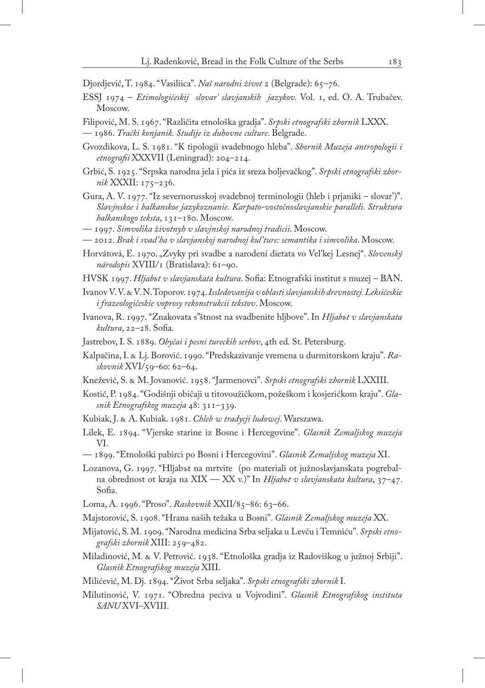Djordjević, T. 1984. "Vasiliica". *Naš narodni život* 2 (Belgrade): 65–76.

- ESSJ 1974 *Etimologičeskij slovar' slavjanskih jazykov.* Vol. 1, ed. O. A. Trubačev. Moscow.
- Filipović, M. S. 1967. "Različita etnološka gradja". *Srpski etnografski zbornik* LXXX. — 1986. *Trački konjanik. Studije iz duhovne culture*. Belgrade.
- Gvozdikova, L. S. 1981. "K tipologii svadebnogo hleba". *Sbornik Muzeja antropologii i etnografii* XXXVII (Leningrad): 204–214.
- Grbić, S. 1925. "Srpska narodna jela i pića iz sreza boljevačkog". *Srpski etnografski zbornik* XXXII: 175–236.
- Gura, A. V. 1977. "Iz severnorusskoj svadebnoj terminologii (hleb i prjaniki slovar')". *Slavjnskoe i balkanskoe jazykoznanie. Karpato-vostočnoslavjanskie paralleli. Struktura balkanskogo teksta*, 131–180. Moscow.
- 1997. *Simvolika životnyh v slavjnskoj narodnoj tradicii*. Moscow.
- 2012. *Brak i svad'ba v slavjanskoj narodnoj kul'ture: semantika i simvolika*. Moscow.
- Horvátová, E. 1970. "Zvyky pri svadbe a narodení dietata vo Veľkej Lesnej". *Slovenský národopis* XVIII/1 (Bratislava): 61–90.
- HVSK 1997. *Hljabъt v slavjanskata kultura*. Sofia: Etnografski institut s muzej BAN.
- Ivanov V. V. & V. N. Toporov. 1974. *Issledovanija v oblasti slavjanskih drevnostej. Leksičeskie i frazeologičeskie voprosy rekonstrukcii tekstov*. Moscow.
- Ivanova, R. 1997. "Znakovata s''štnost na svadbenite hljbove". In *Hljabъt v slavjanskata kultura*, 22–28. Sofia*.*
- Jastrebov, I. S. 1889. *Obyčai i pesni tureckih serbov*, 4th ed. St. Petersburg.
- Kalpačina, I. & Lj. Borović. 1990. "Predskazivanje vremena u durmitorskom kraju". *Raskovnik* XVI/59–60: 62–64.
- Knežević, S. & M. Jovanović. 1958. "Jarmenovci". *Srpski etnografski zbornik* LXXIII.
- Kostić, P. 1984. "Godišnji običaji u titovoužičkom, požeškom i kosjerićkom kraju". *Glasnik Etnografskog muzeja* 48: 311–339.
- Kubiak, J. & A. Kubiak. 1981. *Chleb w tradycji ludowej*. Warszawa.
- Lilek, E. 1894. "Vjerske starine iz Bosne i Hercegovine". *Glasnik Zemaljskog muzeja*  VI.
- 1899. "Etnološki pabirci po Bosni i Hercegovini". *Glasnik Zemaljskog muzeja* XI.
- Lozanova, G. 1997. "Hljabъt na mrtvite (po materiali ot južnoslavjanskata pogrebalna obrednost ot kraja na XIX — XX v.)" In *Hljabъt v slavjanskata kultura*, 37–47. Sofia.
- Loma, A. 1996. "Proso". *Raskovnik* XXII/85–86: 63–66.
- Majstorović, S. 1908. "Hrana naših težaka u Bosni". *Glasnik Zemaljskog muzeja* XX.
- Mijatović, S. M. 1909. "Narodna medicina Srba seljaka u Levču i Temniću". *Srpski etnografski zbornik* XIII: 259–482.
- Miladinović, M. & V. Petrović. 1938. "Etnološka gradja iz Radoviškog u južnoj Srbiji". *Glasnik Etnografskog muzeja* XIII.
- Milićević, M. Dj. 1894. "Život Srba seljaka". *Srpski etnografski zbornik* I.
- Milutinović, V. 1971. "Obredna peciva u Vojvodini". *Glasnik Etnografskog instituta SANU* XVI–XVIII.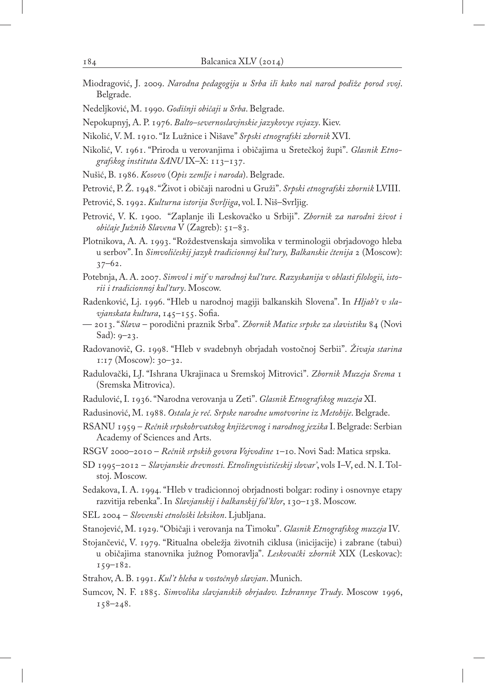- Miodragović, J. 2009. *Narodna pedagogija u Srba ili kako naš narod podiže porod svoj*. Belgrade.
- Nedeljković, M. 1990. *Godišnji običaji u Srba*. Belgrade.
- Nepokupnyj, A. P. 1976. *Balto–severnoslavjnskie jazykovye svjazy*. Kiev.
- Nikolić, V. M. 1910. "Iz Lužnice i Nišave" *Srpski etnografski zbornik* XVI.
- Nikolić, V. 1961. "Priroda u verovanjima i običajima u Sretečkoj župi". *Glasnik Etnografskog instituta SANU* IX–X: 113–137.
- Nušić, B. 1986. *Kosovo* (*Opis zemlje i naroda*). Belgrade.
- Petrović, P. Ž. 1948. "Život i običaji narodni u Gruži". *Srpski etnografski zbornik* LVIII.
- Petrović, S. 1992. *Kulturna istorija Svrljiga*, vol. I. Niš–Svrljig.
- Petrović, V. K. 1900. "Zaplanje ili Leskovačko u Srbiji". *Zbornik za narodni život i običaje Južnih Slavena* V (Zagreb): 51–83.
- Plotnikova, A. A. 1993. "Roždestvenskaja simvolika v terminologii obrjadovogo hleba u serbov". In *Simvoličeskij jazyk tradicionnoj kul'tury, Balkanskie čtenija* 2 (Moscow): 37–62.
- Potebnja, A. A. 2007. *Simvol i mif v narodnoj kul'ture. Razyskanija v oblasti filologii, istorii i tradicionnoj kul'tury*. Moscow.
- Radenković, Lj. 1996. "Hleb u narodnoj magiji balkanskih Slovena". In *Hljab't v slavjanskata kultura*, 145–155. Sofia.
- 2013. "*Slava* porodični praznik Srba". *Zbornik Matice srpske za slavistiku* 84 (Novi Sad):  $9 - 23$ .
- Radovanovič, G. 1998. "Hleb v svadebnyh obrjadah vostočnoj Serbii". *Živaja starina* 1:17 (Moscow): 30–32.
- Radulovački, LJ. "Ishrana Ukrajinaca u Sremskoj Mitrovici". *Zbornik Muzeja Srema* 1 (Sremska Mitrovica).
- Radulović, I. 1936. "Narodna verovanja u Zeti". *Glasnik Etnografskog muzeja* XI.
- Radusinović, M. 1988. *Ostala je reč. Srpske narodne umotvorine iz Metohije*. Belgrade.
- RSANU 1959 *Rečnik srpskohrvatskog književnog i narodnog jezika* I. Belgrade: Serbian Academy of Sciences and Arts.
- RSGV 2000–2010 *Rečnik srpskih govora Vojvodine* 1–10. Novi Sad: Matica srpska.
- SD 1995–2012 *Slavjanskie drevnosti. Etnolingvističeskij slovar'*, vols I–V, ed. N. I. Tolstoj. Moscow.
- Sedakova, I. A. 1994. "Hleb v tradicionnoj obrjadnosti bolgar: rodiny i osnovnye etapy razvitija rebenka". In *Slavjanskij i balkanskij fol'klor*, 130–138. Moscow.
- SEL 2004 *Slovenski etnološki leksikon*. Ljubljana.
- Stanojević, M. 1929. "Običaji i verovanja na Timoku". *Glasnik Etnografskog muzeja* IV.
- Stojančević, V. 1979. "Ritualna obeležja životnih ciklusa (inicijacije) i zabrane (tabui) u običajima stanovnika južnog Pomoravlja". *Leskovački zbornik* XIX (Leskovac): 159–182.
- Strahov, A. B. 1991. *Kul't hleba u vostočnyh slavjan*. Munich.
- Sumcov, N. F. 1885. *Simvolika slavjanskih obrjadov. Izbrannye Trudy*. Moscow 1996, 158–248.